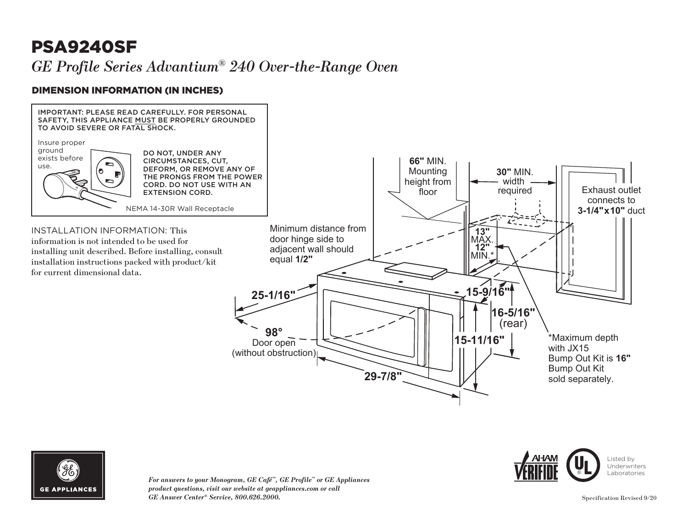# PSA9240SF

### *GE Profile Series Advantium® 240 Over-the-Range Oven*

### DIMENSION INFORMATION (IN INCHES)





*For answers to your Monogram, GE Café™, GE Profile™ or GE Appliances product questions, visit our website at geappliances.com or call GE Answer Center® Service, 800.626.2000.*

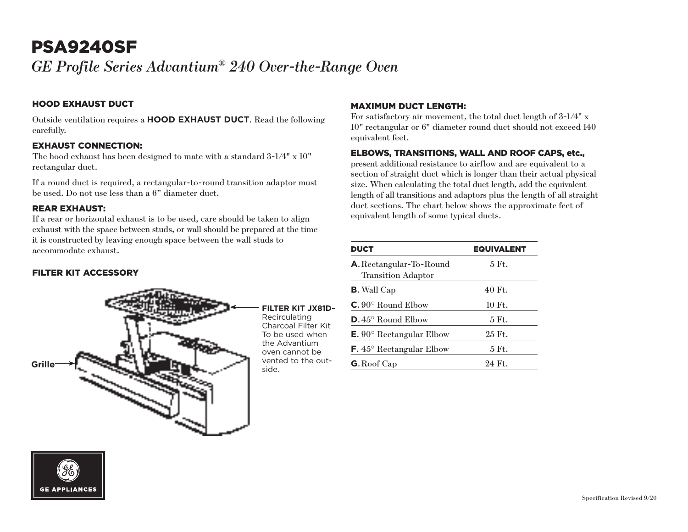## PSA9240SF

*GE Profile Series Advantium® 240 Over-the-Range Oven*

#### HOOD EXHAUST DUCT

Outside ventilation requires a **HOOD EXHAUST DUCT**. Read the following carefully.

#### EXHAUST CONNECTION:

The hood exhaust has been designed to mate with a standard 3-1/4" x 10" rectangular duct.

If a round duct is required, a rectangular-to-round transition adaptor must be used. Do not use less than a 6" diameter duct.

#### REAR EXHAUST:

If a rear or horizontal exhaust is to be used, care should be taken to align exhaust with the space between studs, or wall should be prepared at the time it is constructed by leaving enough space between the wall studs to accommodate exhaust.

#### FILTER KIT ACCESSORY



#### MAXIMUM DUCT LENGTH:

For satisfactory air movement, the total duct length of 3-1/4" x 10" rectangular or 6" diameter round duct should not exceed 140 equivalent feet.

#### ELBOWS, TRANSITIONS, WALL AND ROOF CAPS, etc.,

present additional resistance to airflow and are equivalent to a section of straight duct which is longer than their actual physical size. When calculating the total duct length, add the equivalent length of all transitions and adaptors plus the length of all straight duct sections. The chart below shows the approximate feet of equivalent length of some typical ducts.

| <b>DUCT</b>                                          | <b>EQUIVALENT</b> |
|------------------------------------------------------|-------------------|
| A. Rectangular-To-Round<br><b>Transition Adaptor</b> | 5 Ft.             |
| <b>B.</b> Wall Cap                                   | 40 Ft.            |
| $C. 90^{\circ}$ Round Elbow                          | 10 Ft.            |
| $D.45^{\circ}$ Round Elbow                           | 5 Ft.             |
| <b>E.</b> 90 $^{\circ}$ Rectangular Elbow            | 25 Ft.            |
| $\mathsf{F.}45^{\circ}$ Rectangular Elbow            | 5 Ft.             |
| <b>G.</b> Roof Cap                                   | 24 Ft.            |